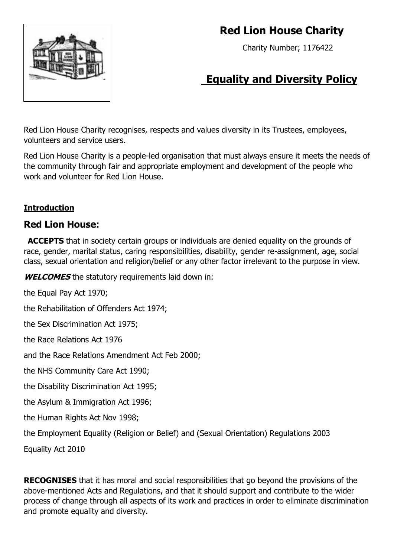

# **Red Lion House Charity**

Charity Number; 1176422

# **Equality and Diversity Policy**

Red Lion House Charity recognises, respects and values diversity in its Trustees, employees, volunteers and service users.

Red Lion House Charity is a people-led organisation that must always ensure it meets the needs of the community through fair and appropriate employment and development of the people who work and volunteer for Red Lion House.

## **Introduction**

## **Red Lion House:**

**ACCEPTS** that in society certain groups or individuals are denied equality on the grounds of race, gender, marital status, caring responsibilities, disability, gender re-assignment, age, social class, sexual orientation and religion/belief or any other factor irrelevant to the purpose in view.

**WELCOMES** the statutory requirements laid down in:

the Equal Pay Act 1970;

the Rehabilitation of Offenders Act 1974;

the Sex Discrimination Act 1975;

the Race Relations Act 1976

and the Race Relations Amendment Act Feb 2000;

the NHS Community Care Act 1990;

the Disability Discrimination Act 1995;

the Asylum & Immigration Act 1996;

the Human Rights Act Nov 1998;

the Employment Equality (Religion or Belief) and (Sexual Orientation) Regulations 2003

Equality Act 2010

**RECOGNISES** that it has moral and social responsibilities that go beyond the provisions of the above-mentioned Acts and Regulations, and that it should support and contribute to the wider process of change through all aspects of its work and practices in order to eliminate discrimination and promote equality and diversity.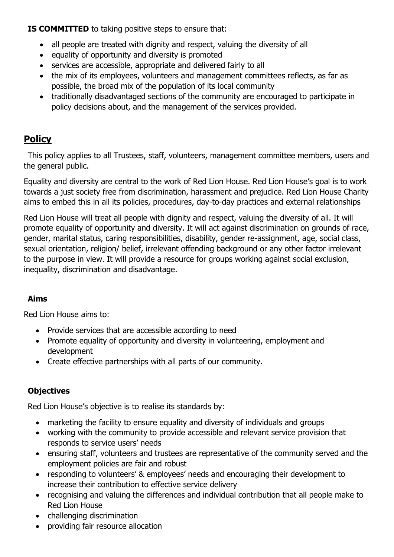**IS COMMITTED** to taking positive steps to ensure that:

- all people are treated with dignity and respect, valuing the diversity of all
- equality of opportunity and diversity is promoted
- services are accessible, appropriate and delivered fairly to all
- the mix of its employees, volunteers and management committees reflects, as far as possible, the broad mix of the population of its local community
- traditionally disadvantaged sections of the community are encouraged to participate in policy decisions about, and the management of the services provided.

# **Policy**

This policy applies to all Trustees, staff, volunteers, management committee members, users and the general public.

Equality and diversity are central to the work of Red Lion House. Red Lion House's goal is to work towards a just society free from discrimination, harassment and prejudice. Red Lion House Charity aims to embed this in all its policies, procedures, day-to-day practices and external relationships

Red Lion House will treat all people with dignity and respect, valuing the diversity of all. It will promote equality of opportunity and diversity. It will act against discrimination on grounds of race, gender, marital status, caring responsibilities, disability, gender re-assignment, age, social class, sexual orientation, religion/ belief, irrelevant offending background or any other factor irrelevant to the purpose in view. It will provide a resource for groups working against social exclusion, inequality, discrimination and disadvantage.

## **Aims**

Red Lion House aims to:

- Provide services that are accessible according to need
- Promote equality of opportunity and diversity in volunteering, employment and development
- Create effective partnerships with all parts of our community.

## **Objectives**

Red Lion House's objective is to realise its standards by:

- marketing the facility to ensure equality and diversity of individuals and groups
- working with the community to provide accessible and relevant service provision that responds to service users' needs
- ensuring staff, volunteers and trustees are representative of the community served and the employment policies are fair and robust
- responding to volunteers' & employees' needs and encouraging their development to increase their contribution to effective service delivery
- recognising and valuing the differences and individual contribution that all people make to Red Lion House
- challenging discrimination
- providing fair resource allocation